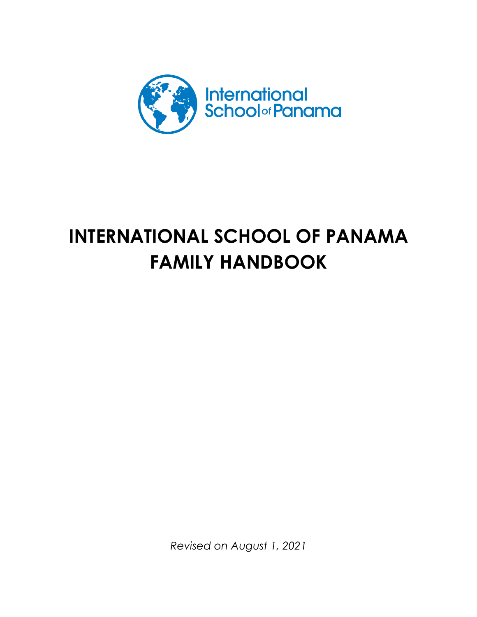

# **INTERNATIONAL SCHOOL OF PANAMA FAMILY HANDBOOK**

*Revised on August 1, 2021*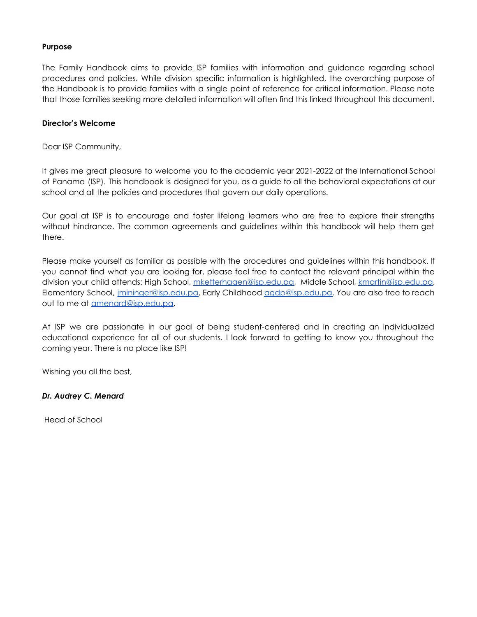#### **Purpose**

The Family Handbook aims to provide ISP families with information and guidance regarding school procedures and policies. While division specific information is highlighted, the overarching purpose of the Handbook is to provide families with a single point of reference for critical information. Please note that those families seeking more detailed information will often find this linked throughout this document.

#### **Director's Welcome**

Dear ISP Community,

It gives me great pleasure to welcome you to the academic year 2021-2022 at the International School of Panama (ISP). This handbook is designed for you, as a guide to all the behavioral expectations at our school and all the policies and procedures that govern our daily operations.

Our goal at ISP is to encourage and foster lifelong learners who are free to explore their strengths without hindrance. The common agreements and guidelines within this handbook will help them get there.

Please make yourself as familiar as possible with the procedures and guidelines within this handbook. If you cannot find what you are looking for, please feel free to contact the relevant principal within the division your child attends: High School, [mketterhagen@isp.edu.pa,](mailto:mketterhagen@isp.edu.pa) Middle School, [kmartin@isp.edu.pa,](mailto:kmartin@isp.edu.pa) Elementary School, *jmininger@isp.edu.pa*, Early Childhood *agdp@isp.edu.pa*. You are also free to reach out to me at [amenard@isp.edu.pa.](mailto:amenard@isp.edu.pa)

At ISP we are passionate in our goal of being student-centered and in creating an individualized educational experience for all of our students. I look forward to getting to know you throughout the coming year. There is no place like ISP!

Wishing you all the best,

#### *Dr. Audrey C. Menard*

Head of School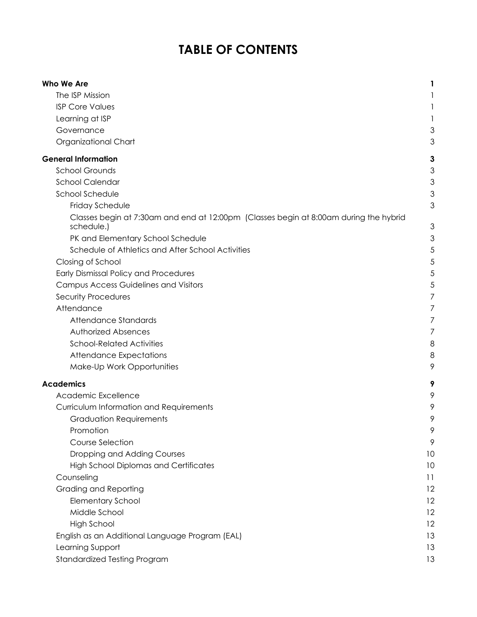# **TABLE OF CONTENTS**

| The ISP Mission<br><b>ISP Core Values</b><br>Learning at ISP<br>3<br>Governance<br>3<br>Organizational Chart<br><b>General Information</b><br>3<br>3<br><b>School Grounds</b><br><b>School Calendar</b><br>3<br><b>School Schedule</b><br>3<br>3<br>Friday Schedule<br>Classes begin at 7:30am and end at 12:00pm (Classes begin at 8:00am during the hybrid<br>3<br>schedule.)<br>3<br>PK and Elementary School Schedule<br>5<br>Schedule of Athletics and After School Activities<br>5<br>Closing of School<br>5<br><b>Early Dismissal Policy and Procedures</b><br><b>Campus Access Guidelines and Visitors</b><br>5<br>7<br>Security Procedures<br>Attendance<br>7<br>Attendance Standards<br>7<br><b>Authorized Absences</b><br>7<br><b>School-Related Activities</b><br>8<br>Attendance Expectations<br>8<br>9<br>Make-Up Work Opportunities<br><b>Academics</b><br>9<br>Academic Excellence<br>9<br>Curriculum Information and Requirements<br>9<br>9<br><b>Graduation Requirements</b><br>Promotion<br>9<br>Course Selection<br>9<br>Dropping and Adding Courses<br>10 |
|--------------------------------------------------------------------------------------------------------------------------------------------------------------------------------------------------------------------------------------------------------------------------------------------------------------------------------------------------------------------------------------------------------------------------------------------------------------------------------------------------------------------------------------------------------------------------------------------------------------------------------------------------------------------------------------------------------------------------------------------------------------------------------------------------------------------------------------------------------------------------------------------------------------------------------------------------------------------------------------------------------------------------------------------------------------------------------|
|                                                                                                                                                                                                                                                                                                                                                                                                                                                                                                                                                                                                                                                                                                                                                                                                                                                                                                                                                                                                                                                                                |
|                                                                                                                                                                                                                                                                                                                                                                                                                                                                                                                                                                                                                                                                                                                                                                                                                                                                                                                                                                                                                                                                                |
|                                                                                                                                                                                                                                                                                                                                                                                                                                                                                                                                                                                                                                                                                                                                                                                                                                                                                                                                                                                                                                                                                |
|                                                                                                                                                                                                                                                                                                                                                                                                                                                                                                                                                                                                                                                                                                                                                                                                                                                                                                                                                                                                                                                                                |
|                                                                                                                                                                                                                                                                                                                                                                                                                                                                                                                                                                                                                                                                                                                                                                                                                                                                                                                                                                                                                                                                                |
|                                                                                                                                                                                                                                                                                                                                                                                                                                                                                                                                                                                                                                                                                                                                                                                                                                                                                                                                                                                                                                                                                |
|                                                                                                                                                                                                                                                                                                                                                                                                                                                                                                                                                                                                                                                                                                                                                                                                                                                                                                                                                                                                                                                                                |
|                                                                                                                                                                                                                                                                                                                                                                                                                                                                                                                                                                                                                                                                                                                                                                                                                                                                                                                                                                                                                                                                                |
|                                                                                                                                                                                                                                                                                                                                                                                                                                                                                                                                                                                                                                                                                                                                                                                                                                                                                                                                                                                                                                                                                |
|                                                                                                                                                                                                                                                                                                                                                                                                                                                                                                                                                                                                                                                                                                                                                                                                                                                                                                                                                                                                                                                                                |
|                                                                                                                                                                                                                                                                                                                                                                                                                                                                                                                                                                                                                                                                                                                                                                                                                                                                                                                                                                                                                                                                                |
|                                                                                                                                                                                                                                                                                                                                                                                                                                                                                                                                                                                                                                                                                                                                                                                                                                                                                                                                                                                                                                                                                |
|                                                                                                                                                                                                                                                                                                                                                                                                                                                                                                                                                                                                                                                                                                                                                                                                                                                                                                                                                                                                                                                                                |
|                                                                                                                                                                                                                                                                                                                                                                                                                                                                                                                                                                                                                                                                                                                                                                                                                                                                                                                                                                                                                                                                                |
|                                                                                                                                                                                                                                                                                                                                                                                                                                                                                                                                                                                                                                                                                                                                                                                                                                                                                                                                                                                                                                                                                |
|                                                                                                                                                                                                                                                                                                                                                                                                                                                                                                                                                                                                                                                                                                                                                                                                                                                                                                                                                                                                                                                                                |
|                                                                                                                                                                                                                                                                                                                                                                                                                                                                                                                                                                                                                                                                                                                                                                                                                                                                                                                                                                                                                                                                                |
|                                                                                                                                                                                                                                                                                                                                                                                                                                                                                                                                                                                                                                                                                                                                                                                                                                                                                                                                                                                                                                                                                |
|                                                                                                                                                                                                                                                                                                                                                                                                                                                                                                                                                                                                                                                                                                                                                                                                                                                                                                                                                                                                                                                                                |
|                                                                                                                                                                                                                                                                                                                                                                                                                                                                                                                                                                                                                                                                                                                                                                                                                                                                                                                                                                                                                                                                                |
|                                                                                                                                                                                                                                                                                                                                                                                                                                                                                                                                                                                                                                                                                                                                                                                                                                                                                                                                                                                                                                                                                |
|                                                                                                                                                                                                                                                                                                                                                                                                                                                                                                                                                                                                                                                                                                                                                                                                                                                                                                                                                                                                                                                                                |
|                                                                                                                                                                                                                                                                                                                                                                                                                                                                                                                                                                                                                                                                                                                                                                                                                                                                                                                                                                                                                                                                                |
|                                                                                                                                                                                                                                                                                                                                                                                                                                                                                                                                                                                                                                                                                                                                                                                                                                                                                                                                                                                                                                                                                |
|                                                                                                                                                                                                                                                                                                                                                                                                                                                                                                                                                                                                                                                                                                                                                                                                                                                                                                                                                                                                                                                                                |
|                                                                                                                                                                                                                                                                                                                                                                                                                                                                                                                                                                                                                                                                                                                                                                                                                                                                                                                                                                                                                                                                                |
|                                                                                                                                                                                                                                                                                                                                                                                                                                                                                                                                                                                                                                                                                                                                                                                                                                                                                                                                                                                                                                                                                |
|                                                                                                                                                                                                                                                                                                                                                                                                                                                                                                                                                                                                                                                                                                                                                                                                                                                                                                                                                                                                                                                                                |
|                                                                                                                                                                                                                                                                                                                                                                                                                                                                                                                                                                                                                                                                                                                                                                                                                                                                                                                                                                                                                                                                                |
|                                                                                                                                                                                                                                                                                                                                                                                                                                                                                                                                                                                                                                                                                                                                                                                                                                                                                                                                                                                                                                                                                |
| 10<br><b>High School Diplomas and Certificates</b>                                                                                                                                                                                                                                                                                                                                                                                                                                                                                                                                                                                                                                                                                                                                                                                                                                                                                                                                                                                                                             |
| Counseling<br>11                                                                                                                                                                                                                                                                                                                                                                                                                                                                                                                                                                                                                                                                                                                                                                                                                                                                                                                                                                                                                                                               |
| <b>Grading and Reporting</b><br>12                                                                                                                                                                                                                                                                                                                                                                                                                                                                                                                                                                                                                                                                                                                                                                                                                                                                                                                                                                                                                                             |
| 12<br><b>Elementary School</b>                                                                                                                                                                                                                                                                                                                                                                                                                                                                                                                                                                                                                                                                                                                                                                                                                                                                                                                                                                                                                                                 |
| Middle School<br>12                                                                                                                                                                                                                                                                                                                                                                                                                                                                                                                                                                                                                                                                                                                                                                                                                                                                                                                                                                                                                                                            |
| 12<br><b>High School</b>                                                                                                                                                                                                                                                                                                                                                                                                                                                                                                                                                                                                                                                                                                                                                                                                                                                                                                                                                                                                                                                       |
| 13<br>English as an Additional Language Program (EAL)                                                                                                                                                                                                                                                                                                                                                                                                                                                                                                                                                                                                                                                                                                                                                                                                                                                                                                                                                                                                                          |
| 13<br>Learning Support                                                                                                                                                                                                                                                                                                                                                                                                                                                                                                                                                                                                                                                                                                                                                                                                                                                                                                                                                                                                                                                         |
| <b>Standardized Testing Program</b><br>13                                                                                                                                                                                                                                                                                                                                                                                                                                                                                                                                                                                                                                                                                                                                                                                                                                                                                                                                                                                                                                      |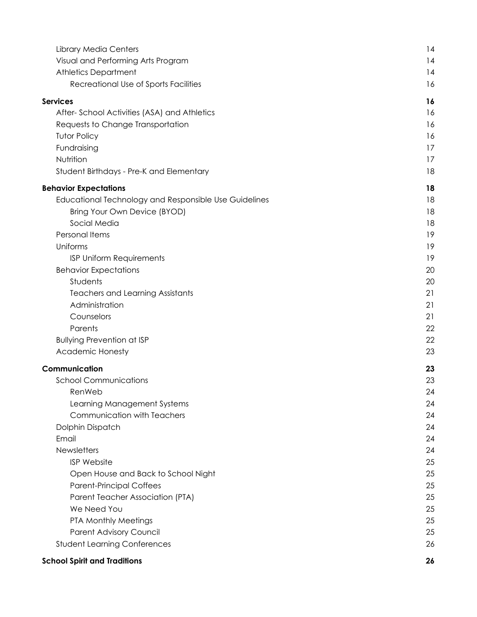| Library Media Centers                                 | 14 |
|-------------------------------------------------------|----|
| Visual and Performing Arts Program                    | 14 |
| <b>Athletics Department</b>                           | 14 |
| Recreational Use of Sports Facilities                 | 16 |
| <b>Services</b>                                       | 16 |
| After-School Activities (ASA) and Athletics           | 16 |
| Requests to Change Transportation                     | 16 |
| <b>Tutor Policy</b>                                   | 16 |
| Fundraising                                           | 17 |
| Nutrition                                             | 17 |
| Student Birthdays - Pre-K and Elementary              | 18 |
| <b>Behavior Expectations</b>                          | 18 |
| Educational Technology and Responsible Use Guidelines | 18 |
| Bring Your Own Device (BYOD)                          | 18 |
| Social Media                                          | 18 |
| <b>Personal Items</b>                                 | 19 |
| Uniforms                                              | 19 |
| <b>ISP Uniform Requirements</b>                       | 19 |
| <b>Behavior Expectations</b>                          | 20 |
| Students                                              | 20 |
| <b>Teachers and Learning Assistants</b>               | 21 |
| Administration                                        | 21 |
| Counselors                                            | 21 |
| Parents                                               | 22 |
| <b>Bullying Prevention at ISP</b>                     | 22 |
| <b>Academic Honesty</b>                               | 23 |
| Communication                                         | 23 |
| <b>School Communications</b>                          | 23 |
| RenWeb                                                | 24 |
| Learning Management Systems                           | 24 |
| Communication with Teachers                           | 24 |
| Dolphin Dispatch                                      | 24 |
| Email                                                 | 24 |
| <b>Newsletters</b>                                    | 24 |
| <b>ISP Website</b>                                    | 25 |
| Open House and Back to School Night                   | 25 |
| <b>Parent-Principal Coffees</b>                       | 25 |
| Parent Teacher Association (PTA)                      | 25 |
| We Need You                                           | 25 |
| PTA Monthly Meetings                                  | 25 |
| Parent Advisory Council                               | 25 |
| <b>Student Learning Conferences</b>                   | 26 |
|                                                       |    |

#### School Spirit an[d](#page-30-1) Traditions

**2 [6](#page-30-1)**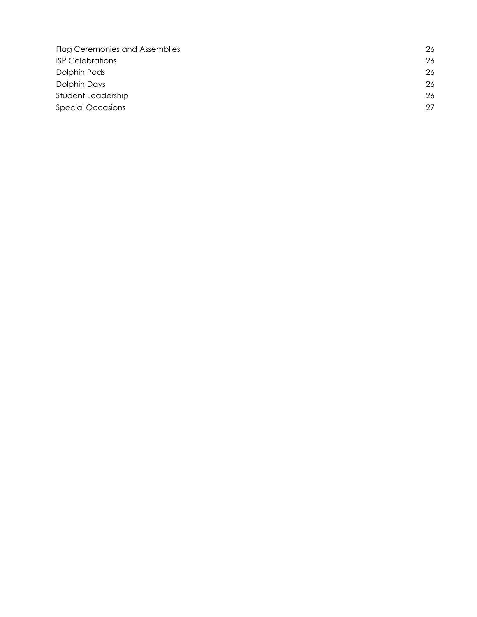| <b>Flag Ceremonies and Assemblies</b> | 26 |
|---------------------------------------|----|
| <b>ISP Celebrations</b>               | 26 |
| Dolphin Pods                          | 26 |
| Dolphin Days                          | 26 |
| Student Leadership                    | 26 |
| <b>Special Occasions</b>              | 27 |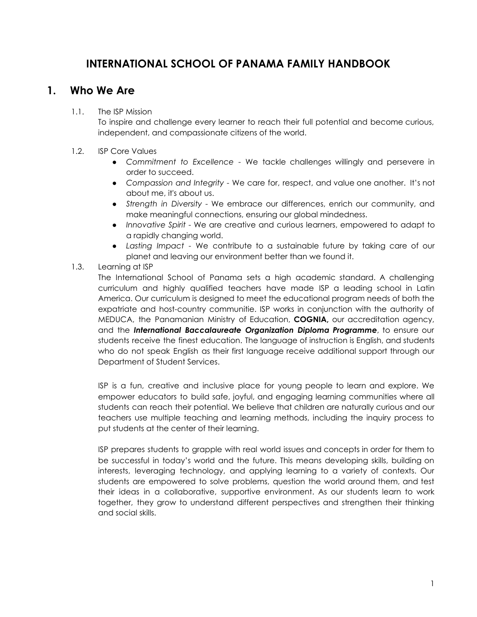# **INTERNATIONAL SCHOOL OF PANAMA FAMILY HANDBOOK**

# <span id="page-5-1"></span><span id="page-5-0"></span>**1. Who We Are**

# 1.1. The ISP Mission

To inspire and challenge every learner to reach their full potential and become curious, independent, and compassionate citizens of the world.

# <span id="page-5-2"></span>1.2. ISP Core Values

- *Commitment to Excellence* We tackle challenges willingly and persevere in order to succeed.
- *Compassion and Integrity* We care for, respect, and value one another. It's not about me, it's about us.
- *Strength in Diversity* We embrace our differences, enrich our community, and make meaningful connections, ensuring our global mindedness.
- *Innovative Spirit* We are creative and curious learners, empowered to adapt to a rapidly changing world.
- *Lasting Impact* We contribute to a sustainable future by taking care of our planet and leaving our environment better than we found it.
- <span id="page-5-3"></span>1.3. Learning at ISP

The International School of Panama sets a high academic standard. A challenging curriculum and highly qualified teachers have made ISP a leading school in Latin America. Our curriculum is designed to meet the educational program needs of both the expatriate and host-country communitie. ISP works in conjunction with the authority of MEDUCA, the Panamanian Ministry of Education, **COGNIA,** our accreditation agency, and the *International Baccalaureate Organization Diploma Programme*, to ensure our students receive the finest education. The language of instruction is English, and students who do not speak English as their first language receive additional support through our Department of Student Services.

ISP is a fun, creative and inclusive place for young people to learn and explore. We empower educators to build safe, joyful, and engaging learning communities where all students can reach their potential. We believe that children are naturally curious and our teachers use multiple teaching and learning methods, including the inquiry process to put students at the center of their learning.

ISP prepares students to grapple with real world issues and concepts in order for them to be successful in today's world and the future. This means developing skills, building on interests, leveraging technology, and applying learning to a variety of contexts. Our students are empowered to solve problems, question the world around them, and test their ideas in a collaborative, supportive environment. As our students learn to work together, they grow to understand different perspectives and strengthen their thinking and social skills.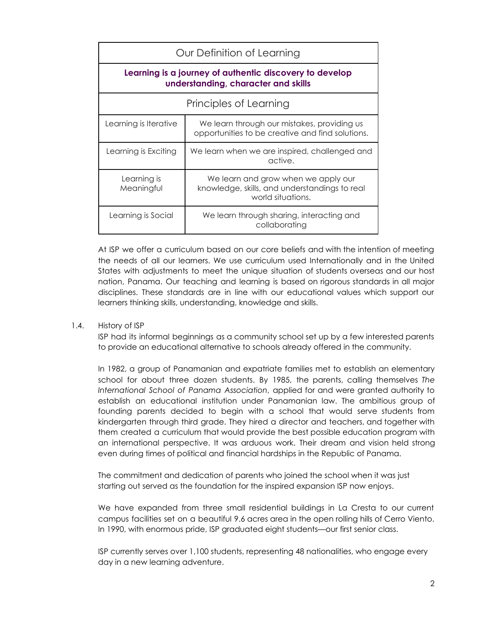| Our Definition of Learning                                                                     |                                                                                                           |  |  |  |
|------------------------------------------------------------------------------------------------|-----------------------------------------------------------------------------------------------------------|--|--|--|
| Learning is a journey of authentic discovery to develop<br>understanding, character and skills |                                                                                                           |  |  |  |
| Principles of Learning                                                                         |                                                                                                           |  |  |  |
| Learning is Iterative                                                                          | We learn through our mistakes, providing us<br>opportunities to be creative and find solutions.           |  |  |  |
| Learning is Exciting                                                                           | We learn when we are inspired, challenged and<br>active.                                                  |  |  |  |
| Learning is<br>Meaningful                                                                      | We learn and grow when we apply our<br>knowledge, skills, and understandings to real<br>world situations. |  |  |  |
| Learning is Social                                                                             | We learn through sharing, interacting and<br>collaborating                                                |  |  |  |

At ISP we offer a curriculum based on our core beliefs and with the intention of meeting the needs of all our learners. We use curriculum used Internationally and in the United States with adjustments to meet the unique situation of students overseas and our host nation, Panama. Our teaching and learning is based on rigorous standards in all major disciplines. These standards are in line with our educational values which support our learners thinking skills, understanding, knowledge and skills.

# 1.4. History of ISP

ISP had its informal beginnings as a community school set up by a few interested parents to provide an educational alternative to schools already offered in the community.

In 1982, a group of Panamanian and expatriate families met to establish an elementary school for about three dozen students. By 1985, the parents, calling themselves *The International School of Panama Association*, applied for and were granted authority to establish an educational institution under Panamanian law. The ambitious group of founding parents decided to begin with a school that would serve students from kindergarten through third grade. They hired a director and teachers, and together with them created a curriculum that would provide the best possible education program with an international perspective. It was arduous work. Their dream and vision held strong even during times of political and financial hardships in the Republic of Panama.

The commitment and dedication of parents who joined the school when it was just starting out served as the foundation for the inspired expansion ISP now enjoys.

We have expanded from three small residential buildings in La Cresta to our current campus facilities set on a beautiful 9.6 acres area in the open rolling hills of Cerro Viento. In 1990, with enormous pride, ISP graduated eight students—our first senior class.

ISP currently serves over 1,100 students, representing 48 nationalities, who engage every day in a new learning adventure.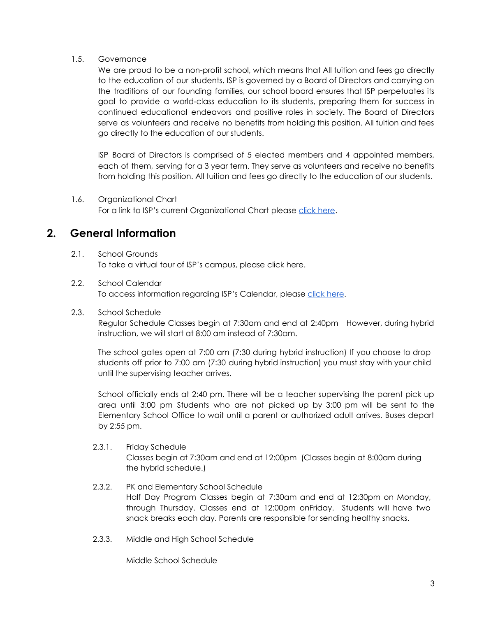#### <span id="page-7-0"></span>1.5. Governance

We are proud to be a non-profit school, which means that All tuition and fees go directly to the education of our students. ISP is governed by a Board of Directors and carrying on the traditions of our founding families, our school board ensures that ISP perpetuates its goal to provide a world-class education to its students, preparing them for success in continued educational endeavors and positive roles in society. The Board of Directors serve as volunteers and receive no benefits from holding this position. All tuition and fees go directly to the education of our students.

ISP Board of Directors is comprised of 5 elected members and 4 appointed members, each of them, serving for a 3 year term. They serve as volunteers and receive no benefits from holding this position. All tuition and fees go directly to the education of our students.

<span id="page-7-1"></span>1.6. Organizational Chart For a link to ISP's current Organizational Chart please click [here](https://docs.google.com/presentation/d/1Mv5dwF0MpDx1WniOhfwdoyAaXEPsj_wmJAfO_P_2114/edit?usp=sharing).

# <span id="page-7-3"></span><span id="page-7-2"></span>**2. General Information**

2.1. School Grounds To take a virtual tour of ISP's campus, please click here.

# <span id="page-7-4"></span>2.2. School Calendar

To access information regarding ISP's Calendar, please click [here.](https://docs.google.com/spreadsheets/d/1InKDs9RfLT3rgUavY7PckaTw4IDGmZXCk62pssiSn_E/edit?usp=sharing)

<span id="page-7-5"></span>2.3. School Schedule

Regular Schedule Classes begin at 7:30am and end at 2:40pm However, during hybrid instruction, we will start at 8:00 am instead of 7:30am.

The school gates open at 7:00 am (7:30 during hybrid instruction) If you choose to drop students off prior to 7:00 am (7:30 during hybrid instruction) you must stay with your child until the supervising teacher arrives.

School officially ends at 2:40 pm. There will be a teacher supervising the parent pick up area until 3:00 pm Students who are not picked up by 3:00 pm will be sent to the Elementary School Office to wait until a parent or authorized adult arrives. Buses depart by 2:55 pm.

- <span id="page-7-6"></span>2.3.1. Friday Schedule Classes begin at 7:30am and end at 12:00pm (Classes begin at 8:00am during the hybrid schedule.)
- <span id="page-7-8"></span><span id="page-7-7"></span>2.3.2. PK and Elementary School Schedule Half Day Program Classes begin at 7:30am and end at 12:30pm on Monday, through Thursday. Classes end at 12:00pm onFriday. Students will have two snack breaks each day. Parents are responsible for sending healthy snacks.
- 2.3.3. Middle and High School Schedule

Middle School Schedule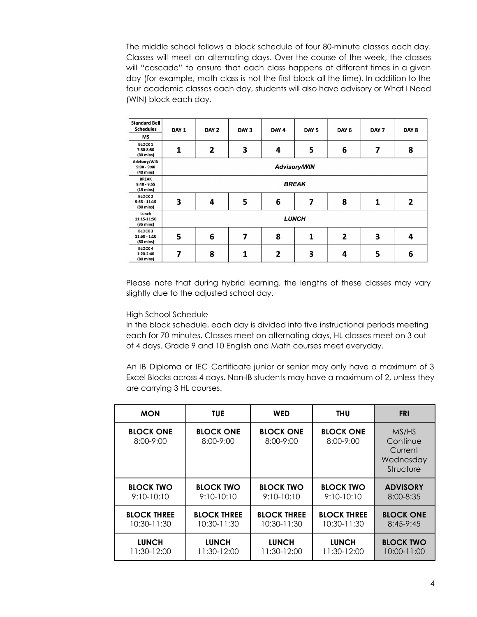The middle school follows a block schedule of four 80-minute classes each day. Classes will meet on alternating days. Over the course of the week, the classes will "cascade" to ensure that each class happens at different times in a given day (for example, math class is not the first block all the time). In addition to the four academic classes each day, students will also have advisory or What I Need (WIN) block each day.

| <b>Standard Bell</b><br><b>Schedules</b>             | DAY 1               | DAY 2 | DAY <sub>3</sub> | DAY 4 | DAY <sub>5</sub> | DAY 6 | DAY <sub>7</sub> | DAY 8 |
|------------------------------------------------------|---------------------|-------|------------------|-------|------------------|-------|------------------|-------|
| <b>MS</b>                                            |                     |       |                  |       |                  |       |                  |       |
| <b>BLOCK 1</b><br>7:30-8:50<br>$(80 \text{ mins})$   | 1                   | 2     | 3                | 4     | 5                | 6     | 7                | 8     |
| Advisory/WIN<br>$9:00 - 9:40$<br>(40 mins)           | <b>Advisory/WIN</b> |       |                  |       |                  |       |                  |       |
| <b>BREAK</b><br>$9:40 - 9:55$<br>$(15 \text{ mins})$ | <b>BREAK</b>        |       |                  |       |                  |       |                  |       |
| <b>BLOCK 2</b><br>$9:55 - 11:15$<br>(80 mins)        | 3                   | 4     | 5                | 6     | 7                | 8     | 1                | 2     |
| Lunch<br>11:15-11:50<br>(35 mins)                    | <b>LUNCH</b>        |       |                  |       |                  |       |                  |       |
| <b>BLOCK 3</b><br>$11:50 - 1:10$<br>(80 mins)        | 5                   | 6     | 7                | 8     | 1                | 2     | 3                | 4     |
| <b>BLOCK 4</b><br>1:20-2:40<br>(80 mins)             | 7                   | 8     | 1                | 2     | 3                | 4     | 5                | 6     |

Please note that during hybrid learning, the lengths of these classes may vary slightly due to the adjusted school day.

#### High School Schedule

In the block schedule, each day is divided into five instructional periods meeting each for 70 minutes. Classes meet on alternating days, HL classes meet on 3 out of 4 days. Grade 9 and 10 English and Math courses meet everyday.

An IB Diploma or IEC Certificate junior or senior may only have a maximum of 3 Excel Blocks across 4 days. Non-IB students may have a maximum of 2, unless they are carrying 3 HL courses.

| <b>MON</b>                        | <b>TUE</b>                        | <b>WED</b>                        | <b>THU</b>                    | <b>FRI</b>                                             |
|-----------------------------------|-----------------------------------|-----------------------------------|-------------------------------|--------------------------------------------------------|
| <b>BLOCK ONE</b><br>$8:00 - 9:00$ | <b>BLOCK ONE</b><br>$8:00 - 9:00$ | <b>BLOCK ONE</b><br>$8:00 - 9:00$ | <b>BLOCK ONE</b><br>8:00-9:00 | MS/HS<br>Continue<br>Current<br>Wednesday<br>Structure |
| <b>BLOCK TWO</b>                  | <b>BLOCK TWO</b>                  | <b>BLOCK TWO</b>                  | <b>BLOCK TWO</b>              | <b>ADVISORY</b>                                        |
| $9:10-10:10$                      | $9:10-10:10$                      | $9:10-10:10$                      | $9:10-10:10$                  | 8:00-8:35                                              |
| <b>BLOCK THREE</b>                | <b>BLOCK THREE</b>                | <b>BLOCK THREE</b>                | <b>BLOCK THREE</b>            | <b>BLOCK ONE</b>                                       |
| 10:30-11:30                       | 10:30-11:30                       | 10:30-11:30                       | 10:30-11:30                   | $8:45-9:45$                                            |
| <b>LUNCH</b>                      | <b>LUNCH</b>                      | <b>LUNCH</b>                      | <b>LUNCH</b>                  | <b>BLOCK TWO</b>                                       |
| 11:30-12:00                       | 11:30-12:00                       | 11:30-12:00                       | 11:30-12:00                   | 10:00-11:00                                            |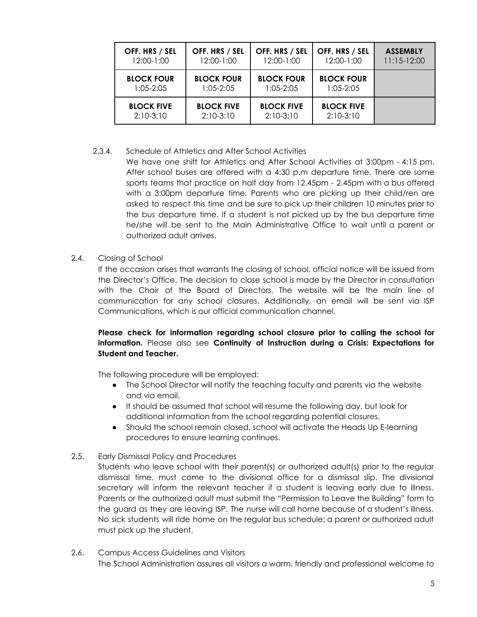| OFF. HRS / SEL    | OFF. HRS / SEL    | OFF. HRS / SEL    | OFF. HRS / SEL    | <b>ASSEMBLY</b> |
|-------------------|-------------------|-------------------|-------------------|-----------------|
| 12:00-1:00        | 12:00-1:00        | 12:00-1:00        | 12:00-1:00        | $11:15-12:00$   |
| <b>BLOCK FOUR</b> | <b>BLOCK FOUR</b> | <b>BLOCK FOUR</b> | <b>BLOCK FOUR</b> |                 |
| $1:05 - 2:05$     | $1:05 - 2:05$     | $1:05 - 2:05$     | $1:05 - 2:05$     |                 |
| <b>BLOCK FIVE</b> | <b>BLOCK FIVE</b> | <b>BLOCK FIVE</b> | <b>BLOCK FIVE</b> |                 |
| $2:10-3:10$       | $2:10-3:10$       | $2:10-3:10$       | $2:10-3:10$       |                 |

# <span id="page-9-0"></span>2.3.4. Schedule of Athletics and After School Activities

We have one shift for Athletics and After School Activities at 3:00pm - 4:15 pm. After school buses are offered with a 4:30 p.m departure time. There are some sports teams that practice on half day from 12.45pm - 2.45pm with a bus offered with a 3:00pm departure time. Parents who are picking up their child/ren are asked to respect this time and be sure to pick up their children 10 minutes prior to the bus departure time. If a student is not picked up by the bus departure time he/she will be sent to the Main Administrative Office to wait until a parent or authorized adult arrives.

#### <span id="page-9-1"></span>2.4. Closing of School

If the occasion arises that warrants the closing of school, official notice will be issued from the Director's Office. The decision to close school is made by the Director in consultation with the Chair of the Board of Directors. The website will be the main line of communication for any school closures. Additionally, an email will be sent via ISP Communications, which is our official communication channel.

# **Please check for information regarding school closure prior to calling the school for information.** Please also see **Continuity of Instruction during a Crisis: Expectations for Student and Teacher.**

The following procedure will be employed:

- The School Director will notify the teaching faculty and parents via the website and via email.
- It should be assumed that school will resume the following day, but look for additional information from the school regarding potential closures.
- Should the school remain closed, school will activate the Heads Up E-learning procedures to ensure learning continues.

# <span id="page-9-2"></span>2.5. Early Dismissal Policy and Procedures

- Students who leave school with their parent(s) or authorized adult(s) prior to the regular dismissal time, must come to the divisional office for a dismissal slip. The divisional secretary will inform the relevant teacher if a student is leaving early due to illness. Parents or the authorized adult must submit the "Permission to Leave the Building" form to the guard as they are leaving ISP. The nurse will call home because of a student's illness. No sick students will ride home on the regular bus schedule; a parent or authorized adult must pick up the student.
- <span id="page-9-3"></span>2.6. Campus Access Guidelines and Visitors The School Administration assures all visitors a warm, friendly and professional welcome to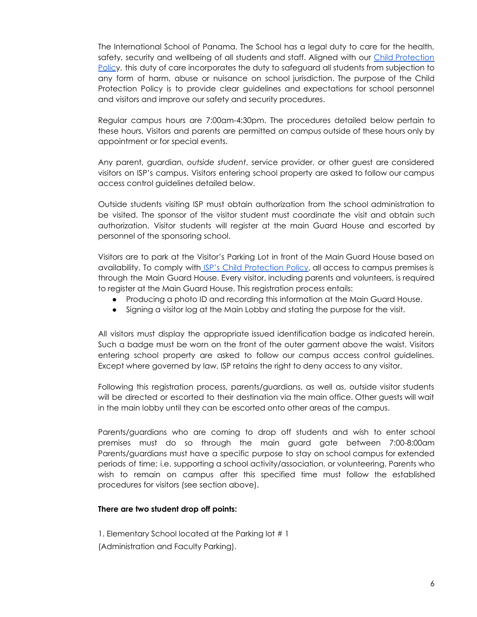The International School of Panama. The School has a legal duty to care for the health, safety, security and wellbeing of all students and staff. Aligned with our Child [Protection](https://www.isp.edu.pa/discover-isp/isp-school-policies) [Policy](https://www.isp.edu.pa/discover-isp/isp-school-policies), this duty of care incorporates the duty to safeguard all students from subjection to any form of harm, abuse or nuisance on school jurisdiction. The purpose of the Child Protection Policy is to provide clear guidelines and expectations for school personnel and visitors and improve our safety and security procedures.

Regular campus hours are 7:00am-4:30pm. The procedures detailed below pertain to these hours. Visitors and parents are permitted on campus outside of these hours only by appointment or for special events.

Any parent, guardian, *outside student*, service provider, or other guest are considered visitors on ISP's campus. Visitors entering school property are asked to follow our campus access control guidelines detailed below.

Outside students visiting ISP must obtain authorization from the school administration to be visited. The sponsor of the visitor student must coordinate the visit and obtain such authorization. Visitor students will register at the main Guard House and escorted by personnel of the sponsoring school.

Visitors are to park at the Visitor's Parking Lot in front of the Main Guard House based on availability. To comply with ISP's Child [Protection](https://www.isp.edu.pa/discover-isp/isp-school-policies) Policy, all access to campus premises is through the Main Guard House. Every visitor, including parents and volunteers, is required to register at the Main Guard House. This registration process entails:

- Producing a photo ID and recording this information at the Main Guard House.
- Signing a visitor log at the Main Lobby and stating the purpose for the visit.

All visitors must display the appropriate issued identification badge as indicated herein. Such a badge must be worn on the front of the outer garment above the waist. Visitors entering school property are asked to follow our campus access control guidelines. Except where governed by law, ISP retains the right to deny access to any visitor.

Following this registration process, parents/guardians, as well as, outside visitor students will be directed or escorted to their destination via the main office. Other guests will wait in the main lobby until they can be escorted onto other areas of the campus.

Parents/guardians who are coming to drop off students and wish to enter school premises must do so through the main guard gate between 7:00-8:00am Parents/guardians must have a specific purpose to stay on school campus for extended periods of time; i.e. supporting a school activity/association, or volunteering. Parents who wish to remain on campus after this specified time must follow the established procedures for visitors (see section above).

#### **There are two student drop off points:**

1. Elementary School located at the Parking lot # 1 (Administration and Faculty Parking).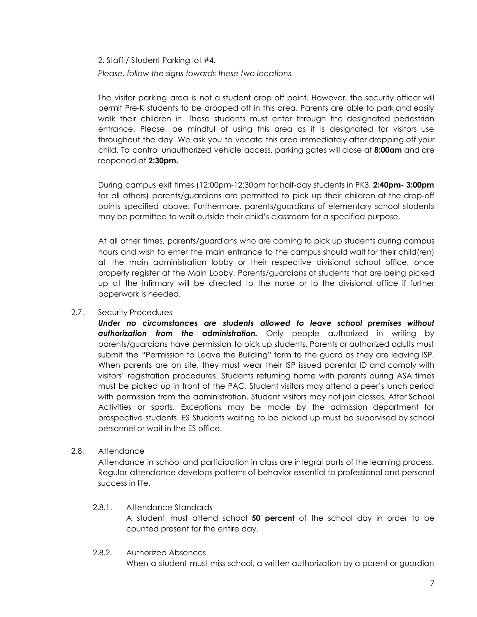2. Staff / Student Parking lot #4. *Please, follow the signs towards these two locations.*

The visitor parking area is not a student drop off point. However, the security officer will permit Pre-K students to be dropped off in this area. Parents are able to park and easily walk their children in. These students must enter through the designated pedestrian entrance. Please, be mindful of using this area as it is designated for visitors use throughout the day. We ask you to vacate this area immediately after dropping off your child. To control unauthorized vehicle access, parking gates will close at **8:00am** and are reopened at **2:30pm.**

During campus exit times (12:00pm-12:30pm for half-day students in PK3, **2:40pm- 3:00pm** for all others) parents/guardians are permitted to pick up their children at the drop-off points specified above. Furthermore, parents/guardians of elementary school students may be permitted to wait outside their child's classroom for a specified purpose.

At all other times, parents/guardians who are coming to pick up students during campus hours and wish to enter the main entrance to the campus should wait for their child(ren) at the main administration lobby or their respective divisional school office, once properly register at the Main Lobby. Parents/guardians of students that are being picked up at the infirmary will be directed to the nurse or to the divisional office if further paperwork is needed.

# <span id="page-11-0"></span>2.7. Security Procedures

*Under no circumstances are students allowed to leave school premises without authorization from the administration.* Only people authorized in writing by parents/guardians have permission to pick up students. Parents or authorized adults must submit the "Permission to Leave the Building" form to the guard as they are leaving ISP. When parents are on site, they must wear their ISP issued parental ID and comply with visitors' registration procedures. Students returning home with parents during ASA times must be picked up in front of the PAC. Student visitors may attend a peer's lunch period with permission from the administration. Student visitors may not join classes, After School Activities or sports. Exceptions may be made by the admission department for prospective students. ES Students waiting to be picked up must be supervised by school personnel or wait in the ES office.

# <span id="page-11-2"></span><span id="page-11-1"></span>2.8. Attendance

Attendance in school and participation in class are integral parts of the learning process. Regular attendance develops patterns of behavior essential to professional and personal success in life.

#### 2.8.1. Attendance Standards

A student must attend school **50 percent** of the school day in order to be counted present for the entire day.

#### <span id="page-11-3"></span>2.8.2. Authorized Absences

When a student must miss school, a written authorization by a parent or guardian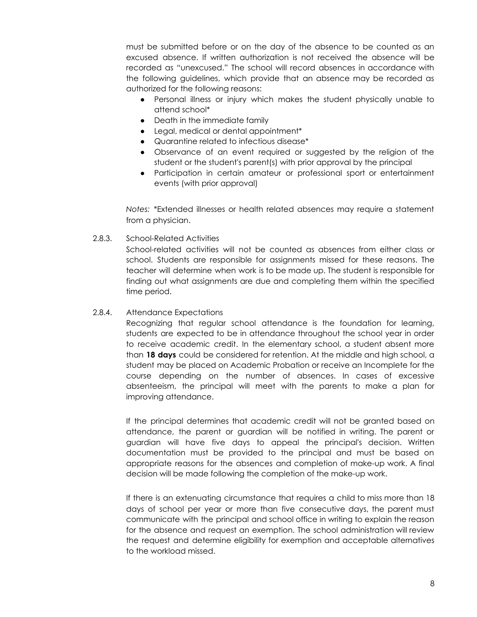must be submitted before or on the day of the absence to be counted as an excused absence. If written authorization is not received the absence will be recorded as "unexcused." The school will record absences in accordance with the following guidelines, which provide that an absence may be recorded as authorized for the following reasons:

- Personal illness or injury which makes the student physically unable to attend school\*
- Death in the immediate family
- Legal, medical or dental appointment\*
- Quarantine related to infectious disease\*
- Observance of an event required or suggested by the religion of the student or the student's parent(s) with prior approval by the principal
- Participation in certain amateur or professional sport or entertainment events (with prior approval)

*Notes:* \*Extended illnesses or health related absences may require a statement from a physician.

<span id="page-12-0"></span>2.8.3. School-Related Activities

School-related activities will not be counted as absences from either class or school. Students are responsible for assignments missed for these reasons. The teacher will determine when work is to be made up. The student is responsible for finding out what assignments are due and completing them within the specified time period.

#### <span id="page-12-1"></span>2.8.4. Attendance Expectations

Recognizing that regular school attendance is the foundation for learning, students are expected to be in attendance throughout the school year in order to receive academic credit. In the elementary school, a student absent more than **18 days** could be considered for retention. At the middle and high school, a student may be placed on Academic Probation or receive an Incomplete for the course depending on the number of absences. In cases of excessive absenteeism, the principal will meet with the parents to make a plan for improving attendance.

If the principal determines that academic credit will not be granted based on attendance, the parent or guardian will be notified in writing. The parent or guardian will have five days to appeal the principal's decision. Written documentation must be provided to the principal and must be based on appropriate reasons for the absences and completion of make-up work. A final decision will be made following the completion of the make-up work.

If there is an extenuating circumstance that requires a child to miss more than 18 days of school per year or more than five consecutive days, the parent must communicate with the principal and school office in writing to explain the reason for the absence and request an exemption. The school administration will review the request and determine eligibility for exemption and acceptable alternatives to the workload missed.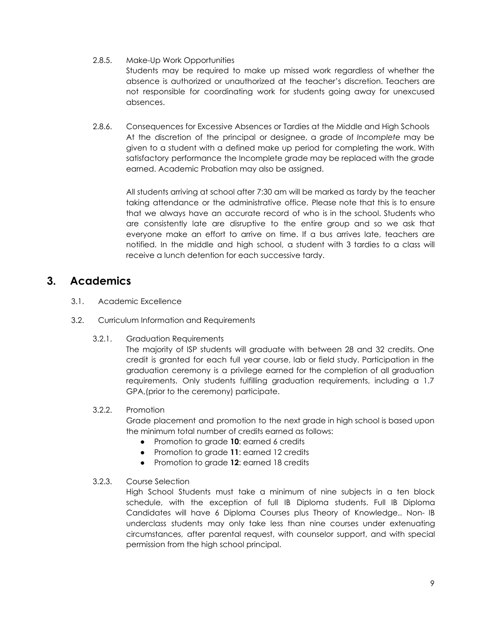- <span id="page-13-0"></span>2.8.5. Make-Up Work Opportunities Students may be required to make up missed work regardless of whether the absence is authorized or unauthorized at the teacher's discretion. Teachers are not responsible for coordinating work for students going away for unexcused absences.
- 2.8.6. Consequences for Excessive Absences or Tardies at the Middle and High Schools At the discretion of the principal or designee, a grade of *Incomplete* may be given to a student with a defined make up period for completing the work. With satisfactory performance the Incomplete grade may be replaced with the grade earned. Academic Probation may also be assigned.

All students arriving at school after 7:30 am will be marked as tardy by the teacher taking attendance or the administrative office. Please note that this is to ensure that we always have an accurate record of who is in the school. Students who are consistently late are disruptive to the entire group and so we ask that everyone make an effort to arrive on time. If a bus arrives late, teachers are notified. In the middle and high school, a student with 3 tardies to a class will receive a lunch detention for each successive tardy.

# <span id="page-13-2"></span><span id="page-13-1"></span>**3. Academics**

- 3.1. Academic Excellence
- <span id="page-13-4"></span><span id="page-13-3"></span>3.2. Curriculum Information and Requirements
	- 3.2.1. Graduation Requirements

The majority of ISP students will graduate with between 28 and 32 credits. One credit is granted for each full year course, lab or field study. Participation in the graduation ceremony is a privilege earned for the completion of all graduation requirements. Only students fulfilling graduation requirements, including a 1.7 GPA,(prior to the ceremony) participate.

# <span id="page-13-5"></span>3.2.2. Promotion

Grade placement and promotion to the next grade in high school is based upon the minimum total number of credits earned as follows:

- Promotion to grade **10**: earned 6 credits
- Promotion to grade **11**: earned 12 credits
- Promotion to grade **12**: earned 18 credits

# <span id="page-13-6"></span>3.2.3. Course Selection

High School Students must take a minimum of nine subjects in a ten block schedule, with the exception of full IB Diploma students. Full IB Diploma Candidates will have 6 Diploma Courses plus Theory of Knowledge.. Non- IB underclass students may only take less than nine courses under extenuating circumstances, after parental request, with counselor support, and with special permission from the high school principal.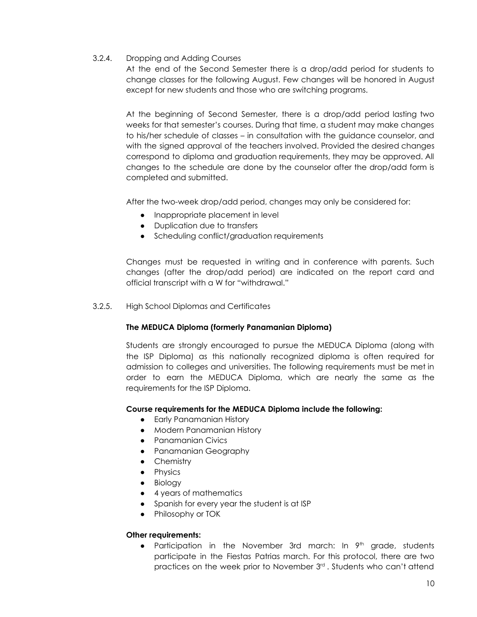<span id="page-14-0"></span>3.2.4. Dropping and Adding Courses

At the end of the Second Semester there is a drop/add period for students to change classes for the following August. Few changes will be honored in August except for new students and those who are switching programs.

At the beginning of Second Semester, there is a drop/add period lasting two weeks for that semester's courses. During that time, a student may make changes to his/her schedule of classes – in consultation with the guidance counselor, and with the signed approval of the teachers involved. Provided the desired changes correspond to diploma and graduation requirements, they may be approved. All changes to the schedule are done by the counselor after the drop/add form is completed and submitted.

After the two-week drop/add period, changes may only be considered for:

- Inappropriate placement in level
- Duplication due to transfers
- Scheduling conflict/graduation requirements

Changes must be requested in writing and in conference with parents. Such changes (after the drop/add period) are indicated on the report card and official transcript with a W for "withdrawal."

<span id="page-14-1"></span>3.2.5. High School Diplomas and Certificates

#### **The MEDUCA Diploma (formerly Panamanian Diploma)**

Students are strongly encouraged to pursue the MEDUCA Diploma (along with the ISP Diploma) as this nationally recognized diploma is often required for admission to colleges and universities. The following requirements must be met in order to earn the MEDUCA Diploma, which are nearly the same as the requirements for the ISP Diploma.

#### **Course requirements for the MEDUCA Diploma include the following:**

- **•** Early Panamanian History
- Modern Panamanian History
- Panamanian Civics
- Panamanian Geography
- Chemistry
- Physics
- Biology
- 4 years of mathematics
- Spanish for every year the student is at ISP
- Philosophy or TOK

#### **Other requirements:**

• Participation in the November 3rd march: In  $9<sup>th</sup>$  grade, students participate in the Fiestas Patrias march. For this protocol, there are two practices on the week prior to November 3<sup>rd</sup>. Students who can't attend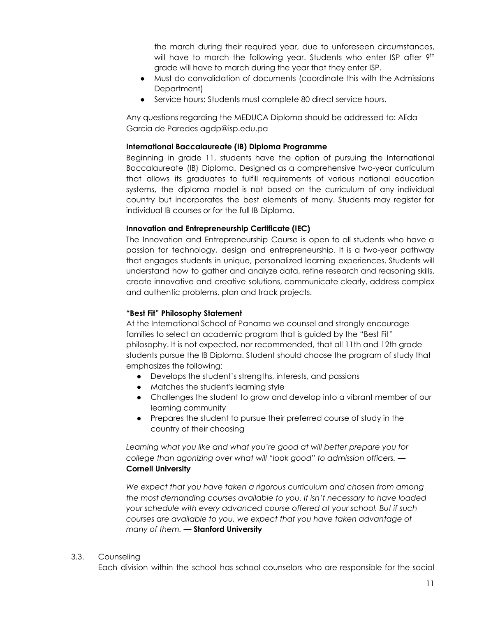the march during their required year, due to unforeseen circumstances, will have to march the following year. Students who enter ISP after  $9<sup>th</sup>$ grade will have to march during the year that they enter ISP.

- Must do convalidation of documents (coordinate this with the Admissions Department)
- Service hours: Students must complete 80 direct service hours.

Any questions regarding the MEDUCA Diploma should be addressed to: Alida Garcia de Paredes agdp@isp.edu.pa

#### **International Baccalaureate (IB) Diploma Programme**

Beginning in grade 11, students have the option of pursuing the International Baccalaureate (IB) Diploma. Designed as a comprehensive two-year curriculum that allows its graduates to fulfill requirements of various national education systems, the diploma model is not based on the curriculum of any individual country but incorporates the best elements of many. Students may register for individual IB courses or for the full IB Diploma.

#### **Innovation and Entrepreneurship Certificate (IEC)**

The Innovation and Entrepreneurship Course is open to all students who have a passion for technology, design and entrepreneurship. It is a two-year pathway that engages students in unique, personalized learning experiences. Students will understand how to gather and analyze data, refine research and reasoning skills, create innovative and creative solutions, communicate clearly, address complex and authentic problems, plan and track projects.

#### **"Best Fit" Philosophy Statement**

At the International School of Panama we counsel and strongly encourage families to select an academic program that is guided by the "Best Fit" philosophy. It is not expected, nor recommended, that all 11th and 12th grade students pursue the IB Diploma. Student should choose the program of study that emphasizes the following:

- Develops the student's strengths, interests, and passions
- Matches the student's learning style
- Challenges the student to grow and develop into a vibrant member of our learning community
- Prepares the student to pursue their preferred course of study in the country of their choosing

*Learning what you like and what you're good at will better prepare you for college than agonizing over what will "look good" to admission officers.* **— Cornell University**

*We expect that you have taken a rigorous curriculum and chosen from among the most demanding courses available to you. It isn't necessary to have loaded your schedule with every advanced course offered at your school. But if such courses are available to you, we expect that you have taken advantage of many of them.* **— Stanford University**

# <span id="page-15-0"></span>3.3. Counseling

Each division within the school has school counselors who are responsible for the social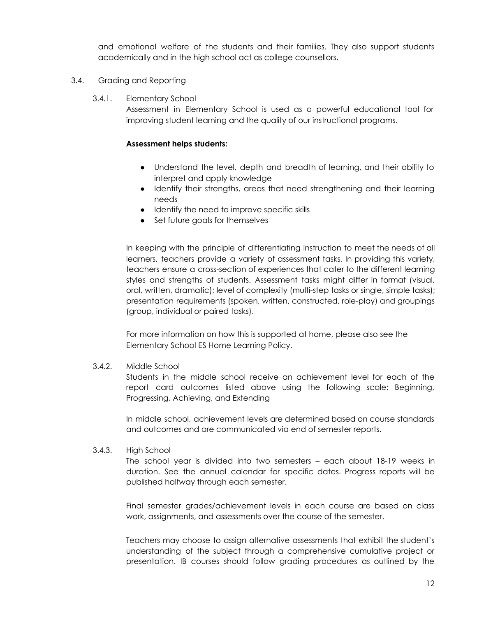and emotional welfare of the students and their families. They also support students academically and in the high school act as college counsellors.

- <span id="page-16-1"></span><span id="page-16-0"></span>3.4. Grading and Reporting
	- 3.4.1. Elementary School

Assessment in Elementary School is used as a powerful educational tool for improving student learning and the quality of our instructional programs.

#### **Assessment helps students:**

- Understand the level, depth and breadth of learning, and their ability to interpret and apply knowledge
- Identify their strengths, areas that need strengthening and their learning needs
- Identify the need to improve specific skills
- Set future goals for themselves

In keeping with the principle of differentiating instruction to meet the needs of all learners, teachers provide a variety of assessment tasks. In providing this variety, teachers ensure a cross-section of experiences that cater to the different learning styles and strengths of students. Assessment tasks might differ in format (visual, oral, written, dramatic); level of complexity (multi-step tasks or single, simple tasks); presentation requirements (spoken, written, constructed, role-play) and groupings (group, individual or paired tasks).

For more information on how this is supported at home, please also see the Elementary School ES Home Learning Policy.

#### <span id="page-16-2"></span>3.4.2. Middle School

Students in the middle school receive an achievement level for each of the report card outcomes listed above using the following scale: Beginning, Progressing, Achieving, and Extending

In middle school, achievement levels are determined based on course standards and outcomes and are communicated via end of semester reports.

#### <span id="page-16-3"></span>3.4.3. High School

The school year is divided into two semesters – each about 18-19 weeks in duration. See the annual calendar for specific dates. Progress reports will be published halfway through each semester.

Final semester grades/achievement levels in each course are based on class work, assignments, and assessments over the course of the semester.

Teachers may choose to assign alternative assessments that exhibit the student's understanding of the subject through a comprehensive cumulative project or presentation. IB courses should follow grading procedures as outlined by the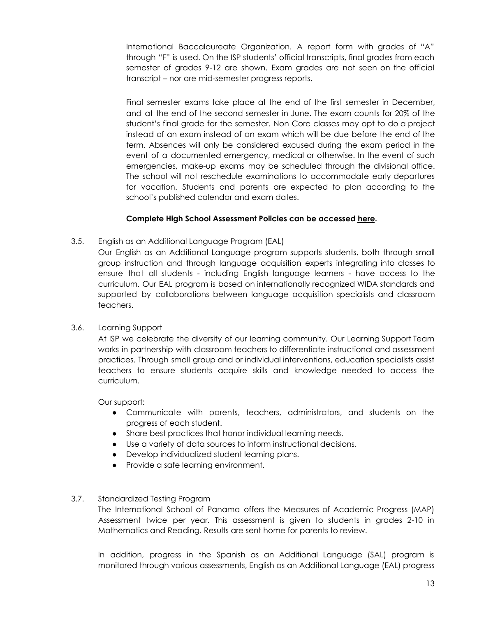International Baccalaureate Organization. A report form with grades of "A" through "F" is used. On the ISP students' official transcripts, final grades from each semester of grades 9-12 are shown. Exam grades are not seen on the official transcript – nor are mid-semester progress reports.

Final semester exams take place at the end of the first semester in December, and at the end of the second semester in June. The exam counts for 20% of the student's final grade for the semester. Non Core classes may opt to do a project instead of an exam instead of an exam which will be due before the end of the term. Absences will only be considered excused during the exam period in the event of a documented emergency, medical or otherwise. In the event of such emergencies, make-up exams may be scheduled through the divisional office. The school will not reschedule examinations to accommodate early departures for vacation. Students and parents are expected to plan according to the school's published calendar and exam dates.

#### **Complete High School Assessment Policies can be accessed [here](https://docs.google.com/document/d/154mPI7cLxjlLJHmGSP_L1wlPQvO8-GkXFRTRbYkloHE/edit?usp=sharing).**

<span id="page-17-0"></span>3.5. English as an Additional Language Program (EAL)

Our English as an Additional Language program supports students, both through small group instruction and through language acquisition experts integrating into classes to ensure that all students - including English language learners - have access to the curriculum. Our EAL program is based on internationally recognized WIDA standards and supported by collaborations between language acquisition specialists and classroom teachers.

<span id="page-17-1"></span>3.6. Learning Support

At ISP we celebrate the diversity of our learning community. Our Learning Support Team works in partnership with classroom teachers to differentiate instructional and assessment practices. Through small group and or individual interventions, education specialists assist teachers to ensure students acquire skills and knowledge needed to access the curriculum.

Our support:

- Communicate with parents, teachers, administrators, and students on the progress of each student.
- Share best practices that honor individual learning needs.
- Use a variety of data sources to inform instructional decisions.
- Develop individualized student learning plans.
- Provide a safe learning environment.

#### <span id="page-17-2"></span>3.7. Standardized Testing Program

The International School of Panama offers the Measures of Academic Progress (MAP) Assessment twice per year. This assessment is given to students in grades 2-10 in Mathematics and Reading. Results are sent home for parents to review.

In addition, progress in the Spanish as an Additional Language (SAL) program is monitored through various assessments, English as an Additional Language (EAL) progress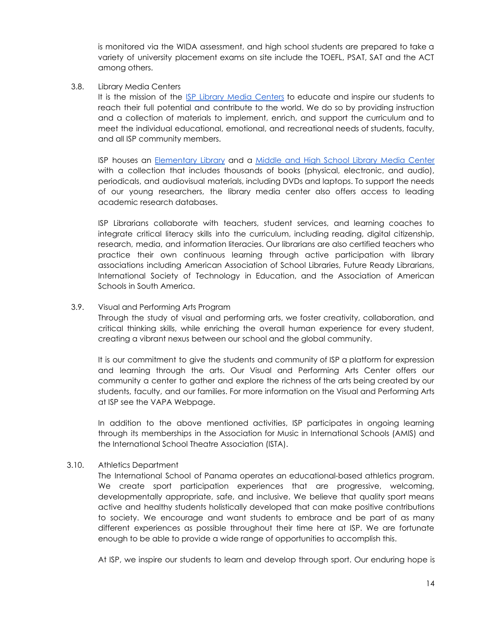is monitored via the WIDA assessment, and high school students are prepared to take a variety of university placement exams on site include the TOEFL, PSAT, SAT and the ACT among others.

#### <span id="page-18-0"></span>3.8. Library Media Centers

It is the mission of the ISP Library Media [Centers](https://www.isp.edu.pa/learning/library-media-center) to educate and inspire our students to reach their full potential and contribute to the world. We do so by providing instruction and a collection of materials to implement, enrich, and support the curriculum and to meet the individual educational, emotional, and recreational needs of students, faculty, and all ISP community members.

ISP houses an [Elementary](https://www.isp.edu.pa/learning/library-media-center/elementary-library) Library and a Middle and High School Library Media [Center](https://www.isp.edu.pa/learning/library-media-center/mshslibrary) with a collection that includes thousands of books (physical, electronic, and audio), periodicals, and audiovisual materials, including DVDs and laptops. To support the needs of our young researchers, the library media center also offers access to leading academic research databases.

ISP Librarians collaborate with teachers, student services, and learning coaches to integrate critical literacy skills into the curriculum, including reading, digital citizenship, research, media, and information literacies. Our librarians are also certified teachers who practice their own continuous learning through active participation with library associations including American Association of School Libraries, Future Ready Librarians, International Society of Technology in Education, and the Association of American Schools in South America.

#### <span id="page-18-1"></span>3.9. Visual and Performing Arts Program

Through the study of visual and performing arts, we foster creativity, collaboration, and critical thinking skills, while enriching the overall human experience for every student, creating a vibrant nexus between our school and the global community.

It is our commitment to give the students and community of ISP a platform for expression and learning through the arts. Our Visual and Performing Arts Center offers our community a center to gather and explore the richness of the arts being created by our students, faculty, and our families. For more information on the Visual and Performing Arts at ISP see the VAPA Webpage.

In addition to the above mentioned activities, ISP participates in ongoing learning through its memberships in the Association for Music in International Schools (AMIS) and the International School Theatre Association (ISTA).

#### <span id="page-18-2"></span>3.10. Athletics Department

The International School of Panama operates an educational-based athletics program. We create sport participation experiences that are progressive, welcoming, developmentally appropriate, safe, and inclusive. We believe that quality sport means active and healthy students holistically developed that can make positive contributions to society. We encourage and want students to embrace and be part of as many different experiences as possible throughout their time here at ISP. We are fortunate enough to be able to provide a wide range of opportunities to accomplish this.

At ISP, we inspire our students to learn and develop through sport. Our enduring hope is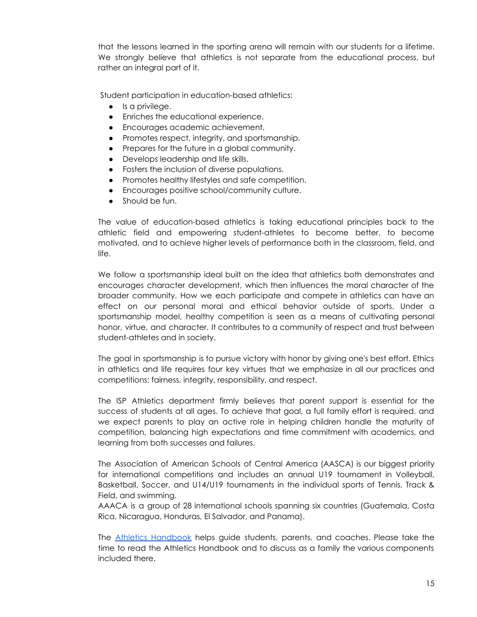that the lessons learned in the sporting arena will remain with our students for a lifetime. We strongly believe that athletics is not separate from the educational process, but rather an integral part of it.

Student participation in education-based athletics:

- Is a privilege.
- Enriches the educational experience.
- Encourages academic achievement.
- Promotes respect, integrity, and sportsmanship.
- Prepares for the future in a global community.
- Develops leadership and life skills.
- Fosters the inclusion of diverse populations.
- Promotes healthy lifestyles and safe competition.
- Encourages positive school/community culture.
- Should be fun.

The value of education-based athletics is taking educational principles back to the athletic field and empowering student-athletes to become better, to become motivated, and to achieve higher levels of performance both in the classroom, field, and life.

We follow a sportsmanship ideal built on the idea that athletics both demonstrates and encourages character development, which then influences the moral character of the broader community. How we each participate and compete in athletics can have an effect on our personal moral and ethical behavior outside of sports. Under a sportsmanship model, healthy competition is seen as a means of cultivating personal honor, virtue, and character. It contributes to a community of respect and trust between student-athletes and in society.

The goal in sportsmanship is to pursue victory with honor by giving one's best effort. Ethics in athletics and life requires four key virtues that we emphasize in all our practices and competitions: fairness, integrity, responsibility, and respect.

The ISP Athletics department firmly believes that parent support is essential for the success of students at all ages. To achieve that goal, a full family effort is required, and we expect parents to play an active role in helping children handle the maturity of competition, balancing high expectations and time commitment with academics, and learning from both successes and failures.

The Association of American Schools of Central America (AASCA) is our biggest priority for international competitions and includes an annual U19 tournament in Volleyball, Basketball, Soccer, and U14/U19 tournaments in the individual sports of Tennis, Track & Field, and swimming.

AAACA is a group of 28 international schools spanning six countries (Guatemala, Costa Rica, Nicaragua, Honduras, El Salvador, and Panama).

The Athletics [Handbook](https://resources.finalsite.net/images/v1607820513/ispedupa/vcb6tucscroxupvnodnv/ISPAthleticsHandbook2020-2021.pdf) helps guide students, parents, and coaches. Please take the time to read the Athletics Handbook and to discuss as a family the various components included there.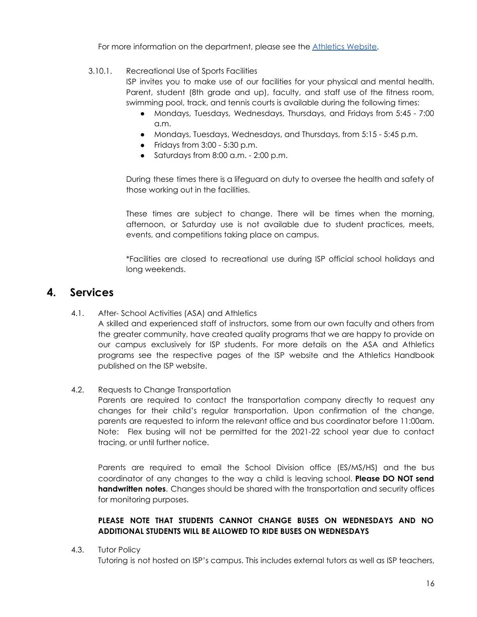For more information on the department, please see the **[Athletics](https://www.isp.edu.pa/arts-athletics-activities/athletics) Website**.

# <span id="page-20-0"></span>3.10.1. Recreational Use of Sports Facilities

ISP invites you to make use of our facilities for your physical and mental health. Parent, student (8th grade and up), faculty, and staff use of the fitness room, swimming pool, track, and tennis courts is available during the following times:

- Mondays, Tuesdays, Wednesdays, Thursdays, and Fridays from 5:45 7:00 a.m.
- Mondays, Tuesdays, Wednesdays, and Thursdays, from 5:15 5:45 p.m.
- $\bullet$  Fridays from 3:00 5:30 p.m.
- Saturdays from 8:00 a.m. 2:00 p.m.

During these times there is a lifeguard on duty to oversee the health and safety of those working out in the facilities.

These times are subject to change. There will be times when the morning, afternoon, or Saturday use is not available due to student practices, meets, events, and competitions taking place on campus.

\*Facilities are closed to recreational use during ISP official school holidays and long weekends.

# <span id="page-20-2"></span><span id="page-20-1"></span>**4. Services**

4.1. After- School Activities (ASA) and Athletics

A skilled and experienced staff of instructors, some from our own faculty and others from the greater community, have created quality programs that we are happy to provide on our campus exclusively for ISP students. For more details on the ASA and Athletics programs see the respective pages of the ISP website and the Athletics Handbook published on the ISP website.

<span id="page-20-3"></span>4.2. Requests to Change Transportation

Parents are required to contact the transportation company directly to request any changes for their child's regular transportation. Upon confirmation of the change, parents are requested to inform the relevant office and bus coordinator before 11:00am. Note: Flex busing will not be permitted for the 2021-22 school year due to contact tracing, or until further notice.

Parents are required to email the School Division office (ES/MS/HS) and the bus coordinator of any changes to the way a child is leaving school. **Please DO NOT send handwritten notes**. Changes should be shared with the transportation and security offices for monitoring purposes.

# **PLEASE NOTE THAT STUDENTS CANNOT CHANGE BUSES ON WEDNESDAYS AND NO ADDITIONAL STUDENTS WILL BE ALLOWED TO RIDE BUSES ON WEDNESDAYS**

<span id="page-20-4"></span>4.3. Tutor Policy

Tutoring is not hosted on ISP's campus. This includes external tutors as well as ISP teachers,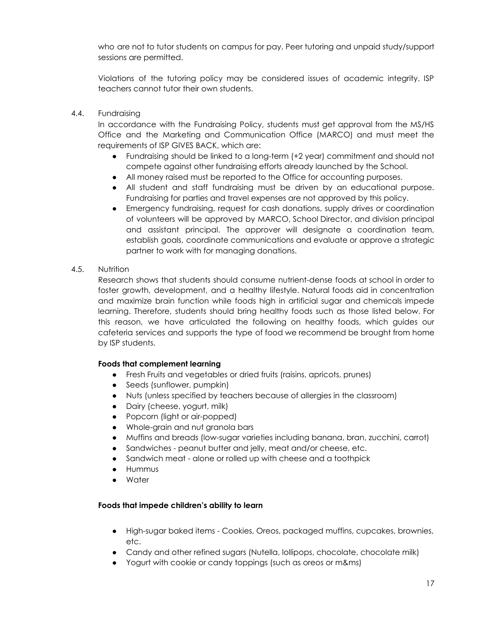who are not to tutor students on campus for pay. Peer tutoring and unpaid study/support sessions are permitted.

Violations of the tutoring policy may be considered issues of academic integrity. ISP teachers cannot tutor their own students.

# <span id="page-21-0"></span>4.4. Fundraising

In accordance with the Fundraising Policy, students must get approval from the MS/HS Office and the Marketing and Communication Office (MARCO) and must meet the requirements of ISP GIVES BACK, which are:

- Fundraising should be linked to a long-term (+2 year) commitment and should not compete against other fundraising efforts already launched by the School.
- All money raised must be reported to the Office for accounting purposes.
- All student and staff fundraising must be driven by an educational purpose. Fundraising for parties and travel expenses are not approved by this policy.
- Emergency fundraising, request for cash donations, supply drives or coordination of volunteers will be approved by MARCO, School Director, and division principal and assistant principal. The approver will designate a coordination team, establish goals, coordinate communications and evaluate or approve a strategic partner to work with for managing donations.

# <span id="page-21-1"></span>4.5. Nutrition

Research shows that students should consume nutrient-dense foods at school in order to foster growth, development, and a healthy lifestyle. Natural foods aid in concentration and maximize brain function while foods high in artificial sugar and chemicals impede learning. Therefore, students should bring healthy foods such as those listed below. For this reason, we have articulated the following on healthy foods, which guides our cafeteria services and supports the type of food we recommend be brought from home by ISP students.

# **Foods that complement learning**

- Fresh Fruits and vegetables or dried fruits (raisins, apricots, prunes)
- Seeds (sunflower, pumpkin)
- Nuts (unless specified by teachers because of allergies in the classroom)
- Dairy (cheese, yogurt, milk)
- Popcorn (light or air-popped)
- Whole-grain and nut granola bars
- Muffins and breads (low-sugar varieties including banana, bran, zucchini, carrot)
- Sandwiches peanut butter and jelly, meat and/or cheese, etc.
- Sandwich meat alone or rolled up with cheese and a toothpick
- Hummus
- Water

# **Foods that impede children's ability to learn**

- High-sugar baked items Cookies, Oreos, packaged muffins, cupcakes, brownies, etc.
- Candy and other refined sugars (Nutella, lollipops, chocolate, chocolate milk)
- Yogurt with cookie or candy toppings (such as oreos or m&ms)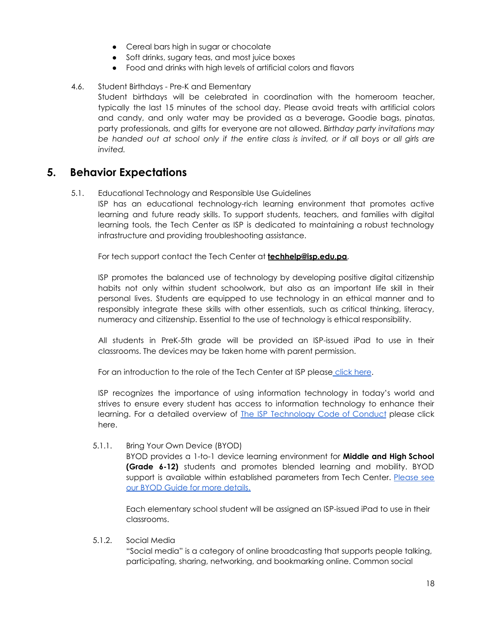- Cereal bars high in sugar or chocolate
- Soft drinks, sugary teas, and most juice boxes
- Food and drinks with high levels of artificial colors and flavors

#### <span id="page-22-0"></span>4.6. Student Birthdays - Pre-K and Elementary

Student birthdays will be celebrated in coordination with the homeroom teacher, typically the last 15 minutes of the school day. Please avoid treats with artificial colors and candy, and only water may be provided as a beverage**.** Goodie bags, pinatas, party professionals, and gifts for everyone are not allowed. *Birthday party invitations may* be handed out at school only if the entire class is invited, or if all boys or all girls are *invited.*

# <span id="page-22-2"></span><span id="page-22-1"></span>**5. Behavior Expectations**

5.1. Educational Technology and Responsible Use Guidelines

ISP has an educational technology-rich learning environment that promotes active learning and future ready skills. To support students, teachers, and families with digital learning tools, the Tech Center as ISP is dedicated to maintaining a robust technology infrastructure and providing troubleshooting assistance.

For tech support contact the Tech Center at **[techhelp@isp.edu.pa](mailto:techhelp@isp.edu.pa)**.

ISP promotes the balanced use of technology by developing positive digital citizenship habits not only within student schoolwork, but also as an important life skill in their personal lives. Students are equipped to use technology in an ethical manner and to responsibly integrate these skills with other essentials, such as critical thinking, literacy, numeracy and citizenship. Essential to the use of technology is ethical responsibility.

All students in PreK-5th grade will be provided an ISP-issued iPad to use in their classrooms. The devices may be taken home with parent permission.

For an introduction to the role of the Tech Center at ISP please click [here](https://www.isp.edu.pa/student-services/technology-center).

ISP recognizes the importance of using information technology in today's world and strives to ensure every student has access to information technology to enhance their learning. For a detailed overview of The ISP [Technology](https://www.isp.edu.pa/discover-isp/isp-school-policies) Code of Conduct please click here.

#### <span id="page-22-3"></span>5.1.1. Bring Your Own Device (BYOD)

BYOD provides a 1-to-1 device learning environment for **Middle and High School (Grade 6-12)** students and promotes blended learning and mobility. BYOD support is available within established parameters from Tech Center. [Please](https://drive.google.com/file/d/1MEE-u3RN3ZFm5LHOaGiGf9s-g964F8r7/view) see our BYOD Guide for more [details.](https://drive.google.com/file/d/1MEE-u3RN3ZFm5LHOaGiGf9s-g964F8r7/view)

Each elementary school student will be assigned an ISP-issued iPad to use in their classrooms.

#### <span id="page-22-4"></span>5.1.2. Social Media

"Social media" is a category of online broadcasting that supports people talking, participating, sharing, networking, and bookmarking online. Common social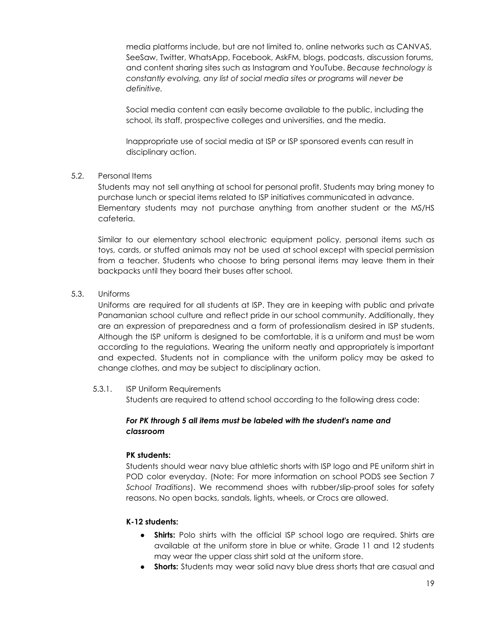media platforms include, but are not limited to, online networks such as CANVAS, SeeSaw, Twitter, WhatsApp, Facebook, AskFM, blogs, podcasts, discussion forums, and content sharing sites such as Instagram and YouTube. *Because technology is constantly evolving, any list of social media sites or programs will never be definitive.*

Social media content can easily become available to the public, including the school, its staff, prospective colleges and universities, and the media.

Inappropriate use of social media at ISP or ISP sponsored events can result in disciplinary action.

#### <span id="page-23-0"></span>5.2. Personal Items

Students may not sell anything at school for personal profit. Students may bring money to purchase lunch or special items related to ISP initiatives communicated in advance. Elementary students may not purchase anything from another student or the MS/HS cafeteria.

Similar to our elementary school electronic equipment policy, personal items such as toys, cards, or stuffed animals may not be used at school except with special permission from a teacher. Students who choose to bring personal items may leave them in their backpacks until they board their buses after school.

#### <span id="page-23-1"></span>5.3. Uniforms

Uniforms are required for all students at ISP. They are in keeping with public and private Panamanian school culture and reflect pride in our school community. Additionally, they are an expression of preparedness and a form of professionalism desired in ISP students. Although the ISP uniform is designed to be comfortable, it is a uniform and must be worn according to the regulations. Wearing the uniform neatly and appropriately is important and expected. Students not in compliance with the uniform policy may be asked to change clothes, and may be subject to disciplinary action.

#### <span id="page-23-2"></span>5.3.1. ISP Uniform Requirements

Students are required to attend school according to the following dress code:

#### *For PK through 5 all items must be labeled with the student's name and classroom*

#### **PK students:**

Students should wear navy blue athletic shorts with ISP logo and PE uniform shirt in POD color everyday. (Note: For more information on school PODS see Section 7 *School Traditions*). We recommend shoes with rubber/slip-proof soles for safety reasons. No open backs, sandals, lights, wheels, or Crocs are allowed.

#### **K-12 students:**

- **Shirts:** Polo shirts with the official ISP school logo are required. Shirts are available at the uniform store in blue or white. Grade 11 and 12 students may wear the upper class shirt sold at the uniform store.
- **Shorts:** Students may wear solid navy blue dress shorts that are casual and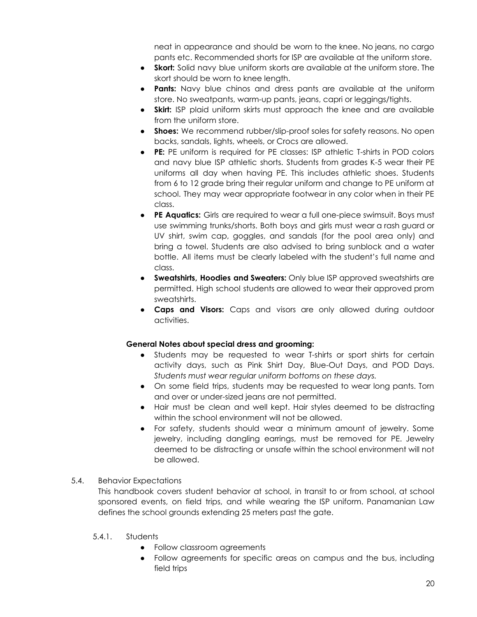neat in appearance and should be worn to the knee. No jeans, no cargo pants etc. Recommended shorts for ISP are available at the uniform store.

- **Skort:** Solid navy blue uniform skorts are available at the uniform store. The skort should be worn to knee length.
- **Pants:** Navy blue chinos and dress pants are available at the uniform store. No sweatpants, warm-up pants, jeans, capri or leggings/tights.
- **Skirt:** ISP plaid uniform skirts must approach the knee and are available from the uniform store.
- **•** Shoes: We recommend rubber/slip-proof soles for safety reasons. No open backs, sandals, lights, wheels, or Crocs are allowed.
- **PE:** PE uniform is required for PE classes: ISP athletic T-shirts in POD colors and navy blue ISP athletic shorts. Students from grades K-5 wear their PE uniforms all day when having PE. This includes athletic shoes. Students from 6 to 12 grade bring their regular uniform and change to PE uniform at school. They may wear appropriate footwear in any color when in their PE class.
- **PE Aquatics:** Girls are required to wear a full one-piece swimsuit. Boys must use swimming trunks/shorts. Both boys and girls must wear a rash guard or UV shirt, swim cap, goggles, and sandals (for the pool area only) and bring a towel. Students are also advised to bring sunblock and a water bottle. All items must be clearly labeled with the student's full name and class.
- **Sweatshirts, Hoodies and Sweaters:** Only blue ISP approved sweatshirts are permitted. High school students are allowed to wear their approved prom sweatshirts.
- **Caps and Visors:** Caps and visors are only allowed during outdoor activities.

# **General Notes about special dress and grooming:**

- Students may be requested to wear T-shirts or sport shirts for certain activity days, such as Pink Shirt Day, Blue-Out Days, and POD Days. *Students must wear regular uniform bottoms on these days.*
- On some field trips, students may be requested to wear long pants. Torn and over or under-sized jeans are not permitted.
- Hair must be clean and well kept. Hair styles deemed to be distracting within the school environment will not be allowed.
- For safety, students should wear a minimum amount of jewelry. Some jewelry, including dangling earrings, must be removed for PE. Jewelry deemed to be distracting or unsafe within the school environment will not be allowed.

# <span id="page-24-1"></span><span id="page-24-0"></span>5.4. Behavior Expectations

This handbook covers student behavior at school, in transit to or from school, at school sponsored events, on field trips, and while wearing the ISP uniform. Panamanian Law defines the school grounds extending 25 meters past the gate.

- 5.4.1. Students
	- Follow classroom agreements
	- Follow agreements for specific areas on campus and the bus, including field trips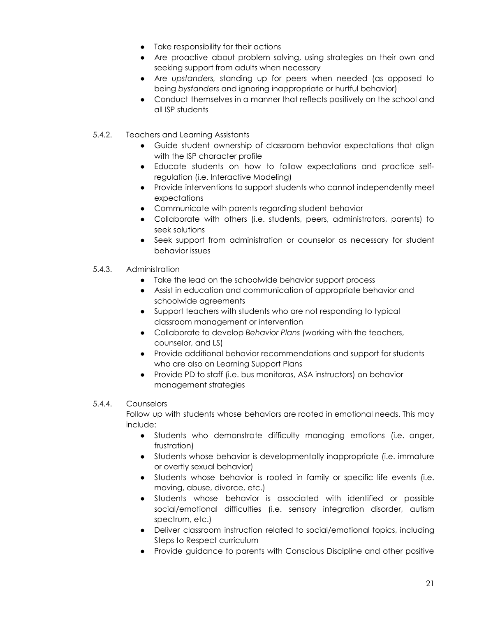- Take responsibility for their actions
- Are proactive about problem solving, using strategies on their own and seeking support from adults when necessary
- Are *upstanders,* standing up for peers when needed (as opposed to being *bystanders* and ignoring inappropriate or hurtful behavior)
- Conduct themselves in a manner that reflects positively on the school and all ISP students
- <span id="page-25-0"></span>5.4.2. Teachers and Learning Assistants
	- Guide student ownership of classroom behavior expectations that align with the ISP character profile
	- Educate students on how to follow expectations and practice selfregulation (i.e. Interactive Modeling)
	- Provide interventions to support students who cannot independently meet expectations
	- Communicate with parents regarding student behavior
	- Collaborate with others (i.e. students, peers, administrators, parents) to seek solutions
	- Seek support from administration or counselor as necessary for student behavior issues
- <span id="page-25-1"></span>5.4.3. Administration
	- Take the lead on the schoolwide behavior support process
	- Assist in education and communication of appropriate behavior and schoolwide agreements
	- Support teachers with students who are not responding to typical classroom management or intervention
	- Collaborate to develop *Behavior Plans* (working with the teachers, counselor, and LS)
	- Provide additional behavior recommendations and support for students who are also on Learning Support Plans
	- Provide PD to staff (i.e. bus monitoras, ASA instructors) on behavior management strategies

# <span id="page-25-2"></span>5.4.4. Counselors

Follow up with students whose behaviors are rooted in emotional needs. This may include:

- Students who demonstrate difficulty managing emotions (i.e. anger, frustration)
- Students whose behavior is developmentally inappropriate (i.e. immature or overtly sexual behavior)
- Students whose behavior is rooted in family or specific life events (i.e. moving, abuse, divorce, etc.)
- Students whose behavior is associated with identified or possible social/emotional difficulties (i.e. sensory integration disorder, autism spectrum, etc.)
- Deliver classroom instruction related to social/emotional topics, including Steps to Respect curriculum
- Provide guidance to parents with Conscious Discipline and other positive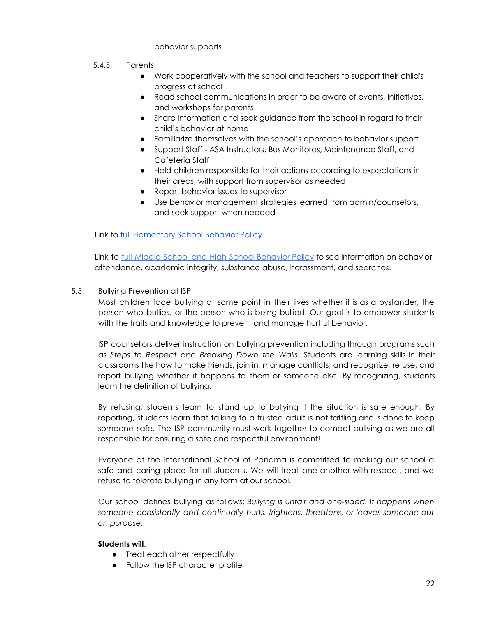#### behavior supports

- <span id="page-26-0"></span>5.4.5. Parents
	- Work cooperatively with the school and teachers to support their child's progress at school
	- Read school communications in order to be aware of events, initiatives, and workshops for parents
	- Share information and seek guidance from the school in regard to their child's behavior at home
	- Familiarize themselves with the school's approach to behavior support
	- Support Staff ASA Instructors, Bus Monitoras, Maintenance Staff, and Cafeteria Staff
	- Hold children responsible for their actions according to expectations in their areas, with support from supervisor as needed
	- Report behavior issues to supervisor
	- Use behavior management strategies learned from admin/counselors, and seek support when needed

Link to full [Elementary](https://docs.google.com/document/d/1ICChWXr3d3dHxfB7uEZjHc_HXAaBrEblUwTZBw00qDo/edit) School Behavior Policy

Link to full Middle School and High School [Behavior](https://docs.google.com/document/d/1qbSHk1vb4t8fnDDWnL13uWhnnwSzCf3b-dVOQf3X46s/edit?usp=sharing) Policy to see information on behavior, attendance, academic integrity, substance abuse, harassment, and searches.

#### <span id="page-26-1"></span>5.5. Bullying Prevention at ISP

Most children face bullying at some point in their lives whether it is as a bystander, the person who bullies, or the person who is being bullied. Our goal is to empower students with the traits and knowledge to prevent and manage hurtful behavior.

ISP counsellors deliver instruction on bullying prevention including through programs such as *Steps to Respect* and *Breaking Down the Walls*. Students are learning skills in their classrooms like how to make friends, join in, manage conflicts, and recognize, refuse, and report bullying whether it happens to them or someone else. By recognizing, students learn the definition of bullying.

By refusing, students learn to stand up to bullying if the situation is safe enough. By reporting, students learn that talking to a trusted adult is not tattling and is done to keep someone safe. The ISP community must work together to combat bullying as we are all responsible for ensuring a safe and respectful environment!

Everyone at the International School of Panama is committed to making our school a safe and caring place for all students. We will treat one another with respect, and we refuse to tolerate bullying in any form at our school.

Our school defines bullying as follows: *Bullying is unfair and one-sided. It happens when someone consistently and continually hurts, frightens, threatens, or leaves someone out on purpose.*

#### **Students will**:

- Treat each other respectfully
- Follow the ISP character profile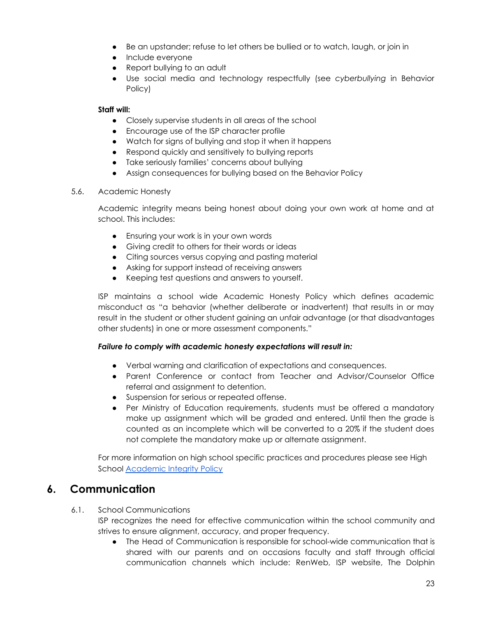- Be an upstander; refuse to let others be bullied or to watch, laugh, or join in
- Include everyone
- Report bullying to an adult
- Use social media and technology respectfully (see *cyberbullying* in Behavior Policy)

#### **Staff will:**

- Closely supervise students in all areas of the school
- Encourage use of the ISP character profile
- Watch for signs of bullying and stop it when it happens
- Respond quickly and sensitively to bullying reports
- Take seriously families' concerns about bullying
- Assign consequences for bullying based on the Behavior Policy

#### <span id="page-27-0"></span>5.6. Academic Honesty

Academic integrity means being honest about doing your own work at home and at school. This includes:

- Ensuring your work is in your own words
- Giving credit to others for their words or ideas
- Citing sources versus copying and pasting material
- Asking for support instead of receiving answers
- Keeping test questions and answers to yourself.

ISP maintains a school wide Academic Honesty Policy which defines academic misconduct as "a behavior (whether deliberate or inadvertent) that results in or may result in the student or other student gaining an unfair advantage (or that disadvantages other students) in one or more assessment components."

#### *Failure to comply with academic honesty expectations will result in:*

- Verbal warning and clarification of expectations and consequences.
- Parent Conference or contact from Teacher and Advisor/Counselor Office referral and assignment to detention.
- Suspension for serious or repeated offense.
- Per Ministry of Education requirements, students must be offered a mandatory make up assignment which will be graded and entered. Until then the grade is counted as an incomplete which will be converted to a 20% if the student does not complete the mandatory make up or alternate assignment.

For more information on high school specific practices and procedures please see High School [Academic](https://drive.google.com/file/d/0B_NWAJjHwXaVZG0xSEdRSDVsbTA/view?usp=sharing&resourcekey=0-nQUvgTsy0CA_4T5fybTIQg) Integrity Policy

# <span id="page-27-2"></span><span id="page-27-1"></span>**6. Communication**

#### 6.1. School Communications

ISP recognizes the need for effective communication within the school community and strives to ensure alignment, accuracy, and proper frequency.

● The Head of Communication is responsible for school-wide communication that is shared with our parents and on occasions faculty and staff through official communication channels which include: RenWeb, ISP website, The Dolphin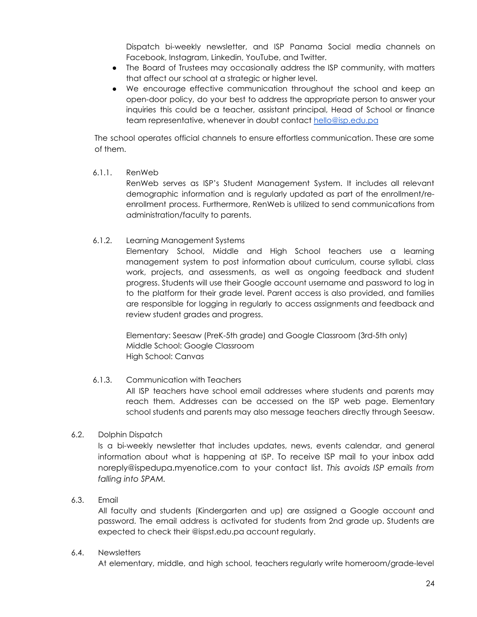Dispatch bi-weekly newsletter, and ISP Panama Social media channels on Facebook, Instagram, Linkedin, YouTube, and Twitter.

- The Board of Trustees may occasionally address the ISP community, with matters that affect our school at a strategic or higher level.
- We encourage effective communication throughout the school and keep an open-door policy, do your best to address the appropriate person to answer your inquiries this could be a teacher, assistant principal, Head of School or finance team representative, whenever in doubt contact [hello@isp.edu.pa](mailto:hello@isp.edu.pa)

The school operates official channels to ensure effortless communication. These are some of them.

# <span id="page-28-0"></span>6.1.1. RenWeb

RenWeb serves as ISP's Student Management System. It includes all relevant demographic information and is regularly updated as part of the enrollment/reenrollment process. Furthermore, RenWeb is utilized to send communications from administration/faculty to parents.

# <span id="page-28-1"></span>6.1.2. Learning Management Systems

Elementary School, Middle and High School teachers use a learning management system to post information about curriculum, course syllabi, class work, projects, and assessments, as well as ongoing feedback and student progress. Students will use their Google account username and password to log in to the platform for their grade level. Parent access is also provided, and families are responsible for logging in regularly to access assignments and feedback and review student grades and progress.

Elementary: Seesaw (PreK-5th grade) and Google Classroom (3rd-5th only) Middle School: Google Classroom High School: Canvas

# <span id="page-28-2"></span>6.1.3. Communication with Teachers

All ISP teachers have school email addresses where students and parents may reach them. Addresses can be accessed on the ISP web page. Elementary school students and parents may also message teachers directly through Seesaw.

# <span id="page-28-3"></span>6.2. Dolphin Dispatch

Is a bi-weekly newsletter that includes updates, news, events calendar, and general information about what is happening at ISP. To receive ISP mail to your inbox add noreply@ispedupa.myenotice.com to your contact list. *This avoids ISP emails from falling into SPAM.*

# <span id="page-28-4"></span>6.3. Email

All faculty and students (Kindergarten and up) are assigned a Google account and password. The email address is activated for students from 2nd grade up. Students are expected to check their @ispst.edu.pa account regularly.

# <span id="page-28-5"></span>6.4. Newsletters

At elementary, middle, and high school, teachers regularly write homeroom/grade-level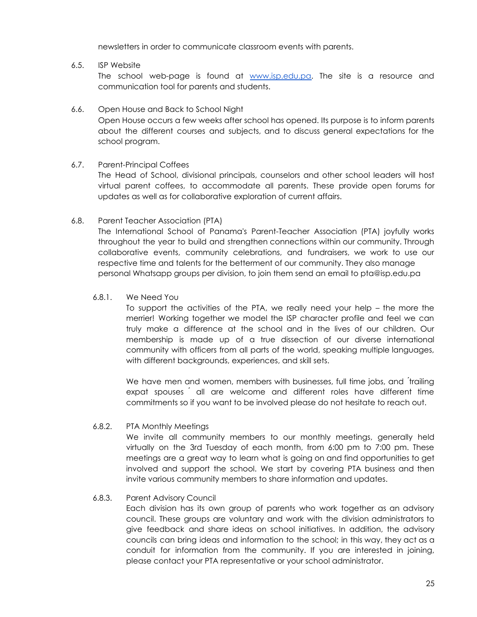newsletters in order to communicate classroom events with parents.

<span id="page-29-0"></span>6.5. ISP Website

The school web-page is found at [www.isp.edu.pa.](http://www.isp.edu.pa) The site is a resource and communication tool for parents and students.

<span id="page-29-1"></span>6.6. Open House and Back to School Night

Open House occurs a few weeks after school has opened. Its purpose is to inform parents about the different courses and subjects, and to discuss general expectations for the school program.

# <span id="page-29-2"></span>6.7. Parent-Principal Coffees

The Head of School, divisional principals, counselors and other school leaders will host virtual parent coffees, to accommodate all parents. These provide open forums for updates as well as for collaborative exploration of current affairs.

<span id="page-29-3"></span>6.8. Parent Teacher Association (PTA)

The International School of Panama's Parent-Teacher Association (PTA) joyfully works throughout the year to build and strengthen connections within our community. Through collaborative events, community celebrations, and fundraisers, we work to use our respective time and talents for the betterment of our community. They also manage personal Whatsapp groups per division, to join them send an email to pta@isp.edu.pa

<span id="page-29-4"></span>6.8.1. We Need You

To support the activities of the PTA, we really need your help – the more the merrier! Working together we model the ISP character profile and feel we can truly make a difference at the school and in the lives of our children. Our membership is made up of a true dissection of our diverse international community with officers from all parts of the world, speaking multiple languages, with different backgrounds, experiences, and skill sets.

We have men and women, members with businesses, full time jobs, and *trailing* expat spouses ́ all are welcome and different roles have different time commitments so if you want to be involved please do not hesitate to reach out.

<span id="page-29-5"></span>6.8.2. PTA Monthly Meetings

We invite all community members to our monthly meetings, generally held virtually on the 3rd Tuesday of each month, from 6:00 pm to 7:00 pm. These meetings are a great way to learn what is going on and find opportunities to get involved and support the school. We start by covering PTA business and then invite various community members to share information and updates.

# <span id="page-29-6"></span>6.8.3. Parent Advisory Council

Each division has its own group of parents who work together as an advisory council. These groups are voluntary and work with the division administrators to give feedback and share ideas on school initiatives. In addition, the advisory councils can bring ideas and information to the school; in this way, they act as a conduit for information from the community. If you are interested in joining, please contact your PTA representative or your school administrator.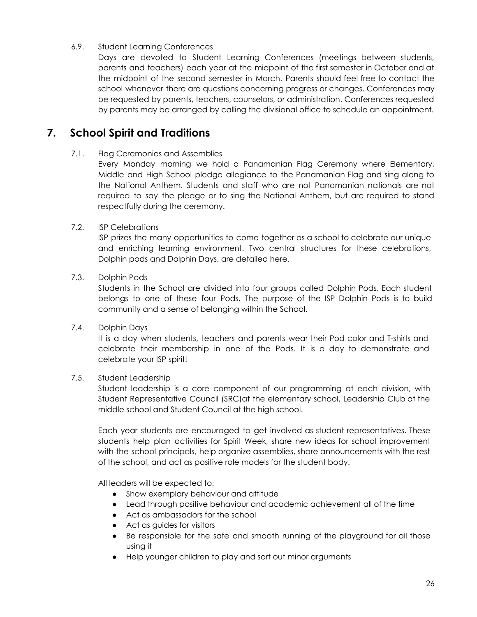# <span id="page-30-0"></span>6.9. Student Learning Conferences

Days are devoted to Student Learning Conferences (meetings between students, parents and teachers) each year at the midpoint of the first semester in October and at the midpoint of the second semester in March. Parents should feel free to contact the school whenever there are questions concerning progress or changes. Conferences may be requested by parents, teachers, counselors, or administration. Conferences requested by parents may be arranged by calling the divisional office to schedule an appointment.

# <span id="page-30-2"></span><span id="page-30-1"></span>**7. School Spirit and Traditions**

# 7.1. Flag Ceremonies and Assemblies

Every Monday morning we hold a Panamanian Flag Ceremony where Elementary, Middle and High School pledge allegiance to the Panamanian Flag and sing along to the National Anthem. Students and staff who are not Panamanian nationals are not required to say the pledge or to sing the National Anthem, but are required to stand respectfully during the ceremony.

# <span id="page-30-3"></span>7.2. ISP Celebrations

ISP prizes the many opportunities to come together as a school to celebrate our unique and enriching learning environment. Two central structures for these celebrations, Dolphin pods and Dolphin Days, are detailed here.

# <span id="page-30-4"></span>7.3. Dolphin Pods

Students in the School are divided into four groups called Dolphin Pods. Each student belongs to one of these four Pods. The purpose of the ISP Dolphin Pods is to build community and a sense of belonging within the School.

# <span id="page-30-5"></span>7.4. Dolphin Days

It is a day when students, teachers and parents wear their Pod color and T-shirts and celebrate their membership in one of the Pods. It is a day to demonstrate and celebrate your ISP spirit!

# <span id="page-30-6"></span>7.5. Student Leadership

Student leadership is a core component of our programming at each division, with Student Representative Council (SRC)at the elementary school, Leadership Club at the middle school and Student Council at the high school.

Each year students are encouraged to get involved as student representatives. These students help plan activities for Spirit Week, share new ideas for school improvement with the school principals, help organize assemblies, share announcements with the rest of the school, and act as positive role models for the student body.

All leaders will be expected to:

- Show exemplary behaviour and attitude
- Lead through positive behaviour and academic achievement all of the time
- Act as ambassadors for the school
- Act as guides for visitors
- Be responsible for the safe and smooth running of the playground for all those using it
- Help younger children to play and sort out minor arguments